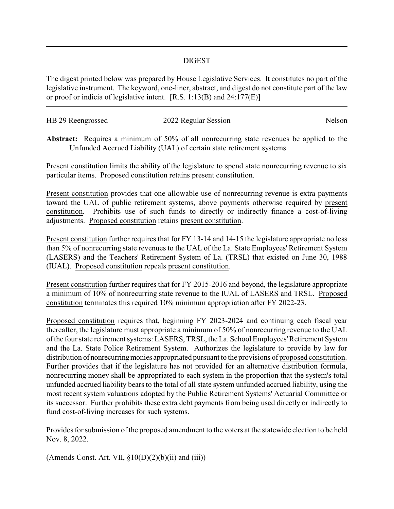## DIGEST

The digest printed below was prepared by House Legislative Services. It constitutes no part of the legislative instrument. The keyword, one-liner, abstract, and digest do not constitute part of the law or proof or indicia of legislative intent. [R.S. 1:13(B) and 24:177(E)]

| HB 29 Reengrossed | 2022 Regular Session | Nelson |
|-------------------|----------------------|--------|
|                   |                      |        |

**Abstract:** Requires a minimum of 50% of all nonrecurring state revenues be applied to the Unfunded Accrued Liability (UAL) of certain state retirement systems.

Present constitution limits the ability of the legislature to spend state nonrecurring revenue to six particular items. Proposed constitution retains present constitution.

Present constitution provides that one allowable use of nonrecurring revenue is extra payments toward the UAL of public retirement systems, above payments otherwise required by present constitution. Prohibits use of such funds to directly or indirectly finance a cost-of-living adjustments. Proposed constitution retains present constitution.

Present constitution further requires that for FY 13-14 and 14-15 the legislature appropriate no less than 5% of nonrecurring state revenues to the UAL of the La. State Employees' Retirement System (LASERS) and the Teachers' Retirement System of La. (TRSL) that existed on June 30, 1988 (IUAL). Proposed constitution repeals present constitution.

Present constitution further requires that for FY 2015-2016 and beyond, the legislature appropriate a minimum of 10% of nonrecurring state revenue to the IUAL of LASERS and TRSL. Proposed constitution terminates this required 10% minimum appropriation after FY 2022-23.

Proposed constitution requires that, beginning FY 2023-2024 and continuing each fiscal year thereafter, the legislature must appropriate a minimum of 50% of nonrecurring revenue to the UAL of the four state retirement systems: LASERS, TRSL, the La. School Employees'Retirement System and the La. State Police Retirement System. Authorizes the legislature to provide by law for distribution of nonrecurring monies appropriated pursuant to the provisions of proposed constitution. Further provides that if the legislature has not provided for an alternative distribution formula, nonrecurring money shall be appropriated to each system in the proportion that the system's total unfunded accrued liability bears to the total of all state system unfunded accrued liability, using the most recent system valuations adopted by the Public Retirement Systems' Actuarial Committee or its successor. Further prohibits these extra debt payments from being used directly or indirectly to fund cost-of-living increases for such systems.

Provides for submission of the proposed amendment to the voters at the statewide election to be held Nov. 8, 2022.

(Amends Const. Art. VII,  $\S 10(D)(2)(b)(ii)$  and (iii))